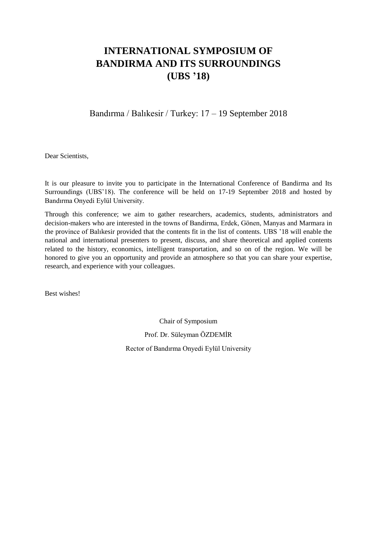# **INTERNATIONAL SYMPOSIUM OF BANDIRMA AND ITS SURROUNDINGS (UBS '18)**

Bandırma / Balıkesir / Turkey: 17 – 19 September 2018

Dear Scientists,

It is our pleasure to invite you to participate in the International Conference of Bandirma and Its Surroundings (UBS'18). The conference will be held on 17-19 September 2018 and hosted by Bandırma Onyedi Eylül University.

Through this conference; we aim to gather researchers, academics, students, administrators and decision-makers who are interested in the towns of Bandirma, Erdek, Gönen, Manyas and Marmara in the province of Balıkesir provided that the contents fit in the list of contents. UBS '18 will enable the national and international presenters to present, discuss, and share theoretical and applied contents related to the history, economics, intelligent transportation, and so on of the region. We will be honored to give you an opportunity and provide an atmosphere so that you can share your expertise, research, and experience with your colleagues.

Best wishes!

Chair of Symposium Prof. Dr. Süleyman ÖZDEMİR Rector of Bandırma Onyedi Eylül University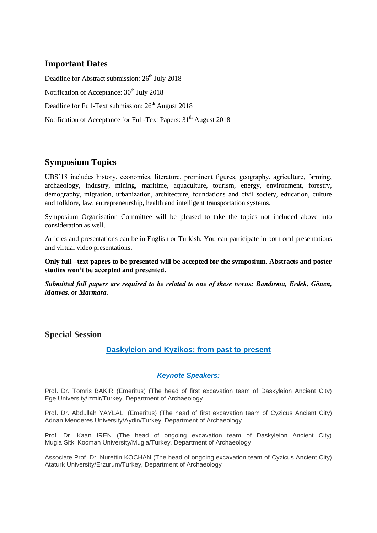## **Important Dates**

Deadline for Abstract submission: 26<sup>th</sup> July 2018 Notification of Acceptance:  $30<sup>th</sup>$  July 2018 Deadline for Full-Text submission:  $26<sup>th</sup>$  August 2018 Notification of Acceptance for Full-Text Papers: 31<sup>th</sup> August 2018

# **Symposium Topics**

UBS'18 includes history, economics, literature, prominent figures, geography, agriculture, farming, archaeology, industry, mining, maritime, aquaculture, tourism, energy, environment, forestry, demography, migration, urbanization, architecture, foundations and civil society, education, culture and folklore, law, entrepreneurship, health and intelligent transportation systems.

Symposium Organisation Committee will be pleased to take the topics not included above into consideration as well.

Articles and presentations can be in English or Turkish. You can participate in both oral presentations and virtual video presentations.

**Only full –text papers to be presented will be accepted for the symposium. Abstracts and poster studies won't be accepted and presented.**

*Submitted full papers are required to be related to one of these towns; Bandırma, Erdek, Gönen, Manyas, or Marmara.*

**Special Session** 

#### **Daskyleion and Kyzikos: from past to present**

#### *Keynote Speakers:*

Prof. Dr. Tomris BAKIR (Emeritus) (The head of first excavation team of Daskyleion Ancient City) Ege University/Izmir/Turkey, Department of Archaeology

Prof. Dr. Abdullah YAYLALI (Emeritus) (The head of first excavation team of Cyzicus Ancient City) Adnan Menderes University/Aydin/Turkey, Department of Archaeology

Prof. Dr. Kaan IREN (The head of ongoing excavation team of Daskyleion Ancient City) Mugla Sitki Kocman University/Mugla/Turkey, Department of Archaeology

Associate Prof. Dr. Nurettin KOCHAN (The head of ongoing excavation team of Cyzicus Ancient City) Ataturk University/Erzurum/Turkey, Department of Archaeology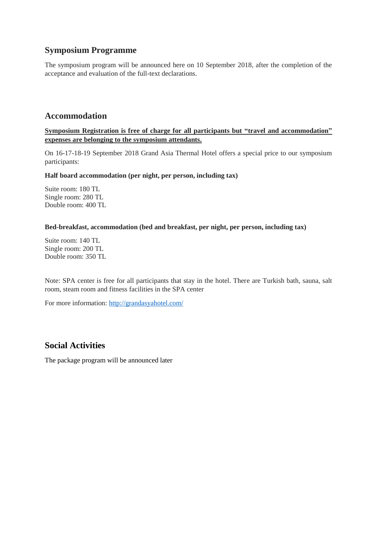### **Symposium Programme**

The symposium program will be announced here on 10 September 2018, after the completion of the acceptance and evaluation of the full-text declarations.

### **Accommodation**

**Symposium Registration is free of charge for all participants but "travel and accommodation" expenses are belonging to the symposium attendants.**

On 16-17-18-19 September 2018 Grand Asia Thermal Hotel offers a special price to our symposium participants:

**Half board accommodation (per night, per person, including tax)**

Suite room: 180 TL Single room: 280 TL Double room: 400 TL

#### **Bed-breakfast, accommodation (bed and breakfast, per night, per person, including tax)**

Suite room: 140 TL Single room: 200 TL Double room: 350 TL

Note: SPA center is free for all participants that stay in the hotel. There are Turkish bath, sauna, salt room, steam room and fitness facilities in the SPA center

For more information:<http://grandasyahotel.com/>

## **Social Activities**

The package program will be announced later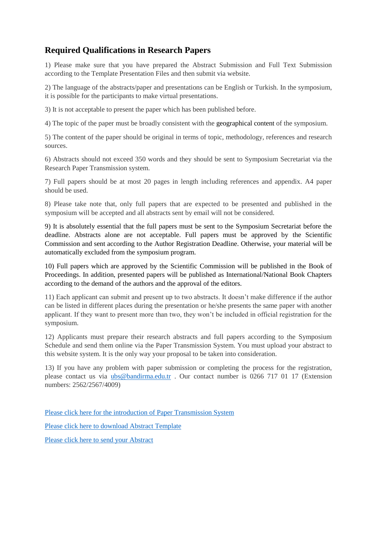# **Required Qualifications in Research Papers**

1) Please make sure that you have prepared the Abstract Submission and Full Text Submission according to the Template Presentation Files and then submit via website.

2) The language of the abstracts/paper and presentations can be English or Turkish. In the symposium, it is possible for the participants to make virtual presentations.

3) It is not acceptable to present the paper which has been published before.

4) The topic of the paper must be broadly consistent with the geographical content of the symposium.

5) The content of the paper should be original in terms of topic, methodology, references and research sources.

6) Abstracts should not exceed 350 words and they should be sent to Symposium Secretariat via the Research Paper Transmission system.

7) Full papers should be at most 20 pages in length including references and appendix. A4 paper should be used.

8) Please take note that, only full papers that are expected to be presented and published in the symposium will be accepted and all abstracts sent by email will not be considered.

9) It is absolutely essential that the full papers must be sent to the Symposium Secretariat before the deadline. Abstracts alone are not acceptable. Full papers must be approved by the Scientific Commission and sent according to the Author Registration Deadline. Otherwise, your material will be automatically excluded from the symposium program.

10) Full papers which are approved by the Scientific Commission will be published in the Book of Proceedings. In addition, presented papers will be published as International/National Book Chapters according to the demand of the authors and the approval of the editors.

11) Each applicant can submit and present up to two abstracts. It doesn't make difference if the author can be listed in different places during the presentation or he/she presents the same paper with another applicant. If they want to present more than two, they won't be included in official registration for the symposium.

12) Applicants must prepare their research abstracts and full papers according to the Symposium Schedule and send them online via the Paper Transmission System. You must upload your abstract to this website system. It is the only way your proposal to be taken into consideration.

13) If you have any problem with paper submission or completing the process for the registration, please contact us via [ubs@bandirma.edu.tr](mailto:ubs@bandirma.edu.tr) . Our contact number is 0266 717 01 17 (Extension numbers: 2562/2567/4009)

[Please click here for the introduction of Paper Transmission System](https://ubs.bandirma.edu.tr/tr/ubs/Sayfa/Goster/Bildiri-Gonderim-Sistemi-Tanitimi-874)

[Please click here to download Abstract Template](https://ubs.bandirma.edu.tr/tr/ubs/Sayfa/Goster/Bildiri-Ozeti-Taslagi-Abstract-Template-877)

[Please click here to send your Abstract](http://submit.bandirma.edu.tr/ubs/openconf.php)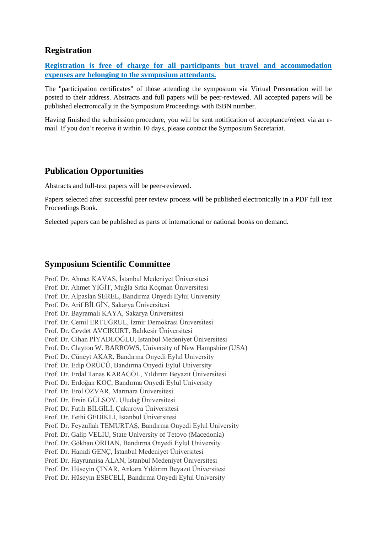### **Registration**

**Registration is free of charge for all participants but travel and accommodation expenses are belonging to the symposium attendants.**

The "participation certificates" of those attending the symposium via Virtual Presentation will be posted to their address. Abstracts and full papers will be peer-reviewed. All accepted papers will be published electronically in the Symposium Proceedings with ISBN number.

Having finished the submission procedure, you will be sent notification of acceptance/reject via an email. If you don't receive it within 10 days, please contact the Symposium Secretariat.

### **Publication Opportunities**

Abstracts and full-text papers will be peer-reviewed.

Papers selected after successful peer review process will be published electronically in a PDF full text Proceedings Book.

Selected papers can be published as parts of international or national books on demand.

#### **Symposium Scientific Committee**

Prof. Dr. Ahmet KAVAS, İstanbul Medeniyet Üniversitesi Prof. Dr. Ahmet YİĞİT, Muğla Sıtkı Koçman Üniversitesi Prof. Dr. Alpaslan SEREL, Bandırma Onyedi Eylul University Prof. Dr. Arif BİLGİN, Sakarya Üniversitesi Prof. Dr. Bayramali KAYA, Sakarya Üniversitesi Prof. Dr. Cemil ERTUĞRUL, İzmir Demokrasi Üniversitesi Prof. Dr. Cevdet AVCIKURT, Balıkesir Üniversitesi Prof. Dr. Cihan PİYADEOĞLU, İstanbul Medeniyet Üniversitesi Prof. Dr. Clayton W. BARROWS, University of New Hampshire (USA) Prof. Dr. Cüneyt AKAR, Bandırma Onyedi Eylul University Prof. Dr. Edip ÖRÜCÜ, Bandırma Onyedi Eylul University Prof. Dr. Erdal Tanas KARAGÖL, Yıldırım Beyazıt Üniversitesi Prof. Dr. Erdoğan KOÇ, Bandırma Onyedi Eylul University Prof. Dr. Erol ÖZVAR, Marmara Üniversitesi Prof. Dr. Ersin GÜLSOY, Uludağ Üniversitesi Prof. Dr. Fatih BİLGİLİ, Çukurova Üniversitesi Prof. Dr. Fethi GEDİKLİ, İstanbul Üniversitesi Prof. Dr. Feyzullah TEMURTAŞ, Bandırma Onyedi Eylul University Prof. Dr. Galip VELIU, State University of Tetovo (Macedonia) Prof. Dr. Gökhan ORHAN, Bandırma Onyedi Eylul University Prof. Dr. Hamdi GENÇ, İstanbul Medeniyet Üniversitesi Prof. Dr. Hayrunnisa ALAN, İstanbul Medeniyet Üniversitesi Prof. Dr. Hüseyin ÇINAR, Ankara Yıldırım Beyazıt Üniversitesi Prof. Dr. Hüseyin ESECELİ, Bandırma Onyedi Eylul University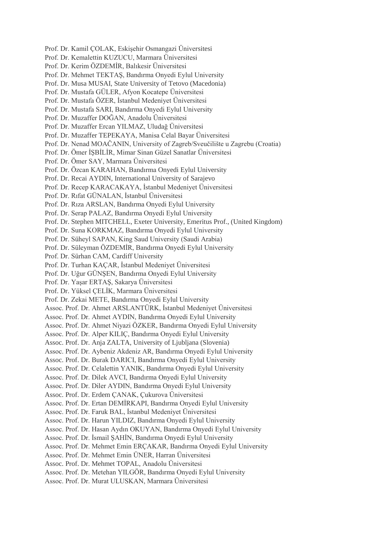- Prof. Dr. Kamil ÇOLAK, Eskişehir Osmangazi Üniversitesi
- Prof. Dr. Kemalettin KUZUCU, Marmara Üniversitesi
- Prof. Dr. Kerim ÖZDEMİR, Balıkesir Üniversitesi
- Prof. Dr. Mehmet TEKTAŞ, Bandırma Onyedi Eylul University
- Prof. Dr. Musa MUSAI, State University of Tetovo (Macedonia)
- Prof. Dr. Mustafa GÜLER, Afyon Kocatepe Üniversitesi
- Prof. Dr. Mustafa ÖZER, İstanbul Medeniyet Üniversitesi
- Prof. Dr. Mustafa SARI, Bandırma Onyedi Eylul University
- Prof. Dr. Muzaffer DOĞAN, Anadolu Üniversitesi
- Prof. Dr. Muzaffer Ercan YILMAZ, Uludağ Üniversitesi
- Prof. Dr. Muzaffer TEPEKAYA, Manisa Celal Bayar Üniversitesi
- Prof. Dr. Nenad MOAČANIN, University of Zagreb/Sveučilište u Zagrebu (Croatia)
- Prof. Dr. Ömer İŞBİLİR, Mimar Sinan Güzel Sanatlar Üniversitesi
- Prof. Dr. Ömer SAY, Marmara Üniversitesi
- Prof. Dr. Özcan KARAHAN, Bandırma Onyedi Eylul University
- Prof. Dr. Recai AYDIN, International University of Sarajevo
- Prof. Dr. Recep KARACAKAYA, İstanbul Medeniyet Üniversitesi
- Prof. Dr. Rıfat GÜNALAN, İstanbul Üniversitesi
- Prof. Dr. Rıza ARSLAN, Bandırma Onyedi Eylul University
- Prof. Dr. Serap PALAZ, Bandırma Onyedi Eylul University
- Prof. Dr. Stephen MITCHELL, Exeter University, Emeritus Prof., (United Kingdom)
- Prof. Dr. Suna KORKMAZ, Bandırma Onyedi Eylul University
- Prof. Dr. Süheyl SAPAN, King Saud University (Saudi Arabia)
- Prof. Dr. Süleyman ÖZDEMİR, Bandırma Onyedi Eylul University
- Prof. Dr. Sürhan CAM, Cardiff University
- Prof. Dr. Turhan KAÇAR, İstanbul Medeniyet Üniversitesi
- Prof. Dr. Uğur GÜNŞEN, Bandırma Onyedi Eylul University
- Prof. Dr. Yaşar ERTAŞ, Sakarya Üniversitesi
- Prof. Dr. Yüksel ÇELİK, Marmara Üniversitesi
- Prof. Dr. Zekai METE, Bandırma Onyedi Eylul University
- Assoc. Prof. Dr. Ahmet ARSLANTÜRK, İstanbul Medeniyet Üniversitesi
- Assoc. Prof. Dr. Ahmet AYDIN, Bandırma Onyedi Eylul University
- Assoc. Prof. Dr. Ahmet Niyazi ÖZKER, Bandırma Onyedi Eylul University
- Assoc. Prof. Dr. Alper KILIÇ, Bandırma Onyedi Eylul University
- Assoc. Prof. Dr. Anja ZALTA, University of Ljubljana (Slovenia)
- Assoc. Prof. Dr. Aybeniz Akdeniz AR, Bandırma Onyedi Eylul University
- Assoc. Prof. Dr. Burak DARICI, Bandırma Onyedi Eylul University
- Assoc. Prof. Dr. Celalettin YANIK, Bandırma Onyedi Eylul University
- Assoc. Prof. Dr. Dilek AVCI, Bandırma Onyedi Eylul University
- Assoc. Prof. Dr. Diler AYDIN, Bandırma Onyedi Eylul University
- Assoc. Prof. Dr. Erdem ÇANAK, Çukurova Üniversitesi
- Assoc. Prof. Dr. Ertan DEMİRKAPI, Bandırma Onyedi Eylul University
- Assoc. Prof. Dr. Faruk BAL, İstanbul Medeniyet Üniversitesi
- Assoc. Prof. Dr. Harun YILDIZ, Bandırma Onyedi Eylul University
- Assoc. Prof. Dr. Hasan Aydın OKUYAN, Bandırma Onyedi Eylul University
- Assoc. Prof. Dr. İsmail ŞAHİN, Bandırma Onyedi Eylul University
- Assoc. Prof. Dr. Mehmet Emin ERÇAKAR, Bandırma Onyedi Eylul University
- Assoc. Prof. Dr. Mehmet Emin ÜNER, Harran Üniversitesi
- Assoc. Prof. Dr. Mehmet TOPAL, Anadolu Üniversitesi
- Assoc. Prof. Dr. Metehan YILGÖR, Bandırma Onyedi Eylul University
- Assoc. Prof. Dr. Murat ULUSKAN, Marmara Üniversitesi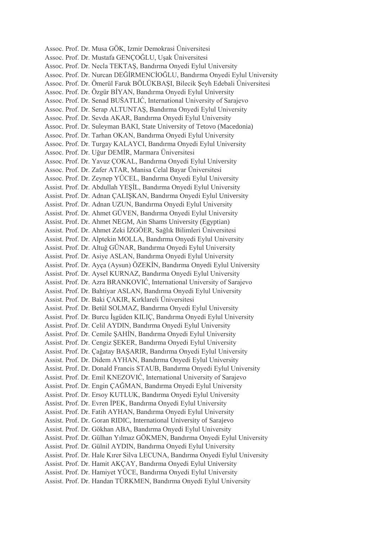Assoc. Prof. Dr. Musa GÖK, Izmir Demokrasi Üniversitesi Assoc. Prof. Dr. Mustafa GENÇOĞLU, Uşak Üniversitesi Assoc. Prof. Dr. Necla TEKTAŞ, Bandırma Onyedi Eylul University Assoc. Prof. Dr. Nurcan DEĞİRMENCİOĞLU, Bandırma Onyedi Eylul University Assoc. Prof. Dr. Ömerül Faruk BÖLÜKBAŞI, Bilecik Şeyh Edebali Üniversitesi Assoc. Prof. Dr. Özgür BİYAN, Bandırma Onyedi Eylul University Assoc. Prof. Dr. Senad BUŠATLIĆ, International University of Sarajevo Assoc. Prof. Dr. Serap ALTUNTAŞ, Bandırma Onyedi Eylul University Assoc. Prof. Dr. Sevda AKAR, Bandırma Onyedi Eylul University Assoc. Prof. Dr. Suleyman BAKI, State University of Tetovo (Macedonia) Assoc. Prof. Dr. Tarhan OKAN, Bandırma Onyedi Eylul University Assoc. Prof. Dr. Turgay KALAYCI, Bandırma Onyedi Eylul University Assoc. Prof. Dr. Uğur DEMİR, Marmara Üniversitesi Assoc. Prof. Dr. Yavuz ÇOKAL, Bandırma Onyedi Eylul University Assoc. Prof. Dr. Zafer ATAR, Manisa Celal Bayar Üniversitesi Assoc. Prof. Dr. Zeynep YÜCEL, Bandırma Onyedi Eylul University Assist. Prof. Dr. Abdullah YEŞİL, Bandırma Onyedi Eylul University Assist. Prof. Dr. Adnan ÇALIŞKAN, Bandırma Onyedi Eylul University Assist. Prof. Dr. Adnan UZUN, Bandırma Onyedi Eylul University Assist. Prof. Dr. Ahmet GÜVEN, Bandırma Onyedi Eylul University Assist. Prof. Dr. Ahmet NEGM, Ain Shams University (Egyptian) Assist. Prof. Dr. Ahmet Zeki İZGÖER, Sağlık Bilimleri Üniversitesi Assist. Prof. Dr. Alptekin MOLLA, Bandırma Onyedi Eylul University Assist. Prof. Dr. Altuğ GÜNAR, Bandırma Onyedi Eylul University Assist. Prof. Dr. Asiye ASLAN, Bandırma Onyedi Eylul University Assist. Prof. Dr. Ayça (Aysun) ÖZEKİN, Bandırma Onyedi Eylul University Assist. Prof. Dr. Aysel KURNAZ, Bandırma Onyedi Eylul University Assist. Prof. Dr. Azra BRANKOVIĆ, International University of Sarajevo Assist. Prof. Dr. Bahtiyar ASLAN, Bandırma Onyedi Eylul University Assist. Prof. Dr. Baki ÇAKIR, Kırklareli Üniversitesi Assist. Prof. Dr. Betül SOLMAZ, Bandırma Onyedi Eylul University Assist. Prof. Dr. Burcu İşgüden KILIÇ, Bandırma Onyedi Eylul University Assist. Prof. Dr. Celil AYDIN, Bandırma Onyedi Eylul University Assist. Prof. Dr. Cemile ŞAHİN, Bandırma Onyedi Eylul University Assist. Prof. Dr. Cengiz ŞEKER, Bandırma Onyedi Eylul University Assist. Prof. Dr. Çağatay BAŞARIR, Bandırma Onyedi Eylul University Assist. Prof. Dr. Didem AYHAN, Bandırma Onyedi Eylul University Assist. Prof. Dr. Donald Francis STAUB, Bandırma Onyedi Eylul University Assist. Prof. Dr. Emil KNEZOVIĆ, International University of Sarajevo Assist. Prof. Dr. Engin ÇAĞMAN, Bandırma Onyedi Eylul University Assist. Prof. Dr. Ersoy KUTLUK, Bandırma Onyedi Eylul University Assist. Prof. Dr. Evren İPEK, Bandırma Onyedi Eylul University Assist. Prof. Dr. Fatih AYHAN, Bandırma Onyedi Eylul University Assist. Prof. Dr. Goran RIDIC, International University of Sarajevo Assist. Prof. Dr. Gökhan ABA, Bandırma Onyedi Eylul University Assist. Prof. Dr. Gülhan Yılmaz GÖKMEN, Bandırma Onyedi Eylul University Assist. Prof. Dr. Gülnil AYDIN, Bandırma Onyedi Eylul University Assist. Prof. Dr. Hale Kırer Silva LECUNA, Bandırma Onyedi Eylul University Assist. Prof. Dr. Hamit AKÇAY, Bandırma Onyedi Eylul University Assist. Prof. Dr. Hamiyet YÜCE, Bandırma Onyedi Eylul University Assist. Prof. Dr. Handan TÜRKMEN, Bandırma Onyedi Eylul University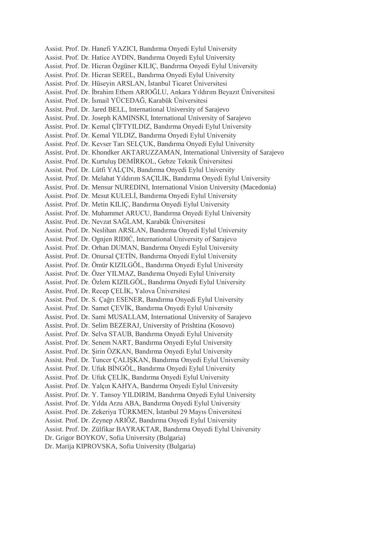Assist. Prof. Dr. Hanefi YAZICI, Bandırma Onyedi Eylul University Assist. Prof. Dr. Hatice AYDIN, Bandırma Onyedi Eylul University Assist. Prof. Dr. Hicran Özgüner KILIÇ, Bandırma Onyedi Eylul University Assist. Prof. Dr. Hicran SEREL, Bandırma Onyedi Eylul University Assist. Prof. Dr. Hüseyin ARSLAN, İstanbul Ticaret Üniversitesi Assist. Prof. Dr. İbrahim Ethem ARIOĞLU, Ankara Yıldırım Beyazıt Üniversitesi Assist. Prof. Dr. İsmail YÜCEDAĞ, Karabük Üniversitesi Assist. Prof. Dr. Jared BELL, International University of Sarajevo Assist. Prof. Dr. Joseph KAMINSKI, International University of Sarajevo Assist. Prof. Dr. Kemal ÇİFTYILDIZ, Bandırma Onyedi Eylul University Assist. Prof. Dr. Kemal YILDIZ, Bandırma Onyedi Eylul University Assist. Prof. Dr. Kevser Tarı SELÇUK, Bandırma Onyedi Eylul University Assist. Prof. Dr. Khondker AKTARUZZAMAN, International University of Sarajevo Assist. Prof. Dr. Kurtuluş DEMİRKOL, Gebze Teknik Üniversitesi Assist. Prof. Dr. Lütfi YALÇIN, Bandırma Onyedi Eylul University Assist. Prof. Dr. Melahat Yıldırım SAÇILIK, Bandırma Onyedi Eylul University Assist. Prof. Dr. Mensur NUREDINI, International Vision University (Macedonia) Assist. Prof. Dr. Mesut KULELİ, Bandırma Onyedi Eylul University Assist. Prof. Dr. Metin KILIÇ, Bandırma Onyedi Eylul University Assist. Prof. Dr. Muhammet ARUCU, Bandırma Onyedi Eylul University Assist. Prof. Dr. Nevzat SAĞLAM, Karabük Üniversitesi Assist. Prof. Dr. Neslihan ARSLAN, Bandırma Onyedi Eylul University Assist. Prof. Dr. Ognjen RIĐIĆ, International University of Sarajevo Assist. Prof. Dr. Orhan DUMAN, Bandırma Onyedi Eylul University Assist. Prof. Dr. Onursal ÇETİN, Bandırma Onyedi Eylul University Assist. Prof. Dr. Ömür KIZILGÖL, Bandırma Onyedi Eylul University Assist. Prof. Dr. Özer YILMAZ, Bandırma Onyedi Eylul University Assist. Prof. Dr. Özlem KIZILGÖL, Bandırma Onyedi Eylul University Assist. Prof. Dr. Recep ÇELİK, Yalova Üniversitesi Assist. Prof. Dr. S. Çağrı ESENER, Bandırma Onyedi Eylul University Assist. Prof. Dr. Samet ÇEVİK, Bandırma Onyedi Eylul University Assist. Prof. Dr. Sami MUSALLAM, International University of Sarajevo Assist. Prof. Dr. Selim BEZERAJ, University of Prishtina (Kosovo) Assist. Prof. Dr. Selva STAUB, Bandırma Onyedi Eylul University Assist. Prof. Dr. Senem NART, Bandırma Onyedi Eylul University Assist. Prof. Dr. Şirin ÖZKAN, Bandırma Onyedi Eylul University Assist. Prof. Dr. Tuncer ÇALIŞKAN, Bandırma Onyedi Eylul University Assist. Prof. Dr. Ufuk BİNGÖL, Bandırma Onyedi Eylul University Assist. Prof. Dr. Ufuk ÇELİK, Bandırma Onyedi Eylul University Assist. Prof. Dr. Yalçın KAHYA, Bandırma Onyedi Eylul University Assist. Prof. Dr. Y. Tansoy YILDIRIM, Bandırma Onyedi Eylul University Assist. Prof. Dr. Yılda Arzu ABA, Bandırma Onyedi Eylul University Assist. Prof. Dr. Zekeriya TÜRKMEN, İstanbul 29 Mayıs Üniversitesi Assist. Prof. Dr. Zeynep ARIÖZ, Bandırma Onyedi Eylul University Assist. Prof. Dr. Zülfikar BAYRAKTAR, Bandırma Onyedi Eylul University Dr. Grigor BOYKOV, Sofia University (Bulgaria) Dr. Marija KIPROVSKA, Sofia University (Bulgaria)